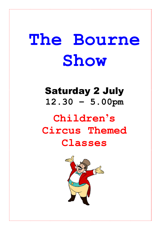# **The Bourne Show**

## Saturday 2 July **12.30 – 5.00pm**

# **Children's Circus Themed Classes**

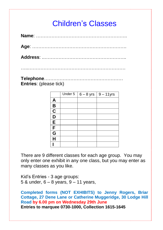### Children's Classes

**Entries**: (please tick)

|                         | Under $5 \mid 6 - 8$ yrs | $9 - 11$ yrs |
|-------------------------|--------------------------|--------------|
| A                       |                          |              |
| B                       |                          |              |
| $\overline{\mathbf{C}}$ |                          |              |
| D                       |                          |              |
| E                       |                          |              |
| F                       |                          |              |
| G                       |                          |              |
| H                       |                          |              |
|                         |                          |              |

There are 9 different classes for each age group. You may only enter one exhibit in any one class, but you may enter as many classes as you like.

Kid's Entries - 3 age groups: 5 & under, 6 – 8 years, 9 – 11 years,

**Completed forms (NOT EXHIBITS) to Jenny Rogers, Briar Cottage, 27 Dene Lane or Catherine Muggeridge, 30 Lodge Hill Road by 6.00 pm on Wednesday 29th June Entries to marquee 0730-1000, Collection 1615-1645**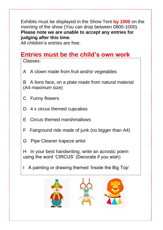Exhibits must be displayed in the Show Tent **by 1000** on the morning of the show (You can drop between 0800-1000). **Please note we are unable to accept any entries for judging after this time**.

All children's entries are free.

#### **Entries must be the child's own work**

Classes:

A A clown made from fruit and/or vegetables

B A lions face, on a plate made from natural material (A4 maximum size)

- C Funny flowers
- D 4 x circus themed cupcakes
- E Circus themed marshmallows
- F Fairground ride made of junk (no bigger than A4)
- G Pipe Cleaner trapeze artist

H In your best handwriting, write an acrostic poem using the word 'CIRCUS' (Decorate if you wish)

I A painting or drawing themed 'Inside the Big Top'